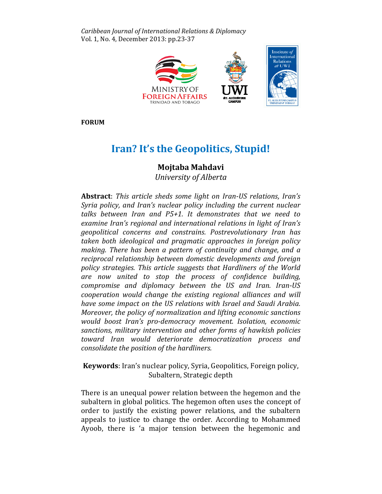Caribbean Journal of International Relations & Diplomacy l Diplomacy Vol. 1, No. 4, December 2013: pp.23-37



FORUM

# Iran? It's the Geopolitics, Stupid!

## Mojtaba Mahdavi

University of Alberta

Abstract: This article sheds some light on Iran-US relations, Iran's Syria policy, and Iran's nuclear policy including the current nuclear talks between Iran and P5+1. It demonstrates that we need to examine Iran's regional and international relations in light of Iran's geopolitical concerns and constrains. Postrevolutionary Iran has taken both ideological and pragmatic approaches in foreign policy making. There has been a pattern of continuity and change, and a a reciprocal relationship between domestic developments and foreign foreign policy strategies. This article suggests that Hardliners of the World are now united to stop the process of confidence building, compromise and diplomacy between the US and Iran. Iran-US cooperation would change the existing regional alliances and will have some impact on the US relations with Israel and Saudi Arabia. have some impact on the US relations with Israel and Saudi Arabia.<br>Moreover, the policy of normalization and lifting economic sanctions would boost Iran's pro-democracy movement. Isolation, economic sanctions, military intervention and other forms of hawkish policies toward Iran would deteriorate democratization process and consolidate the position of the hardliners.

Keywords: Iran's nuclear policy, Syria, Geopolitics, Foreign policy, Subaltern, Strategic depth

Subaltern, Strategic depth<br>There is an unequal power relation between the hegemon and the subaltern in global politics. The hegemon often uses the concept of order to justify the existing power relations, and the subaltern appeals to justice to change the order. According to Mohammed Mohammed Ayoob, there is 'a major tension between the hegemonic and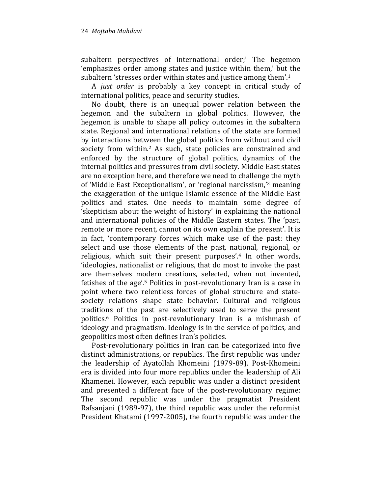subaltern perspectives of international order;' The hegemon 'emphasizes order among states and justice within them,' but the subaltern 'stresses order within states and justice among them'.<sup>1</sup>

A just order is probably a key concept in critical study of international politics, peace and security studies.

No doubt, there is an unequal power relation between the hegemon and the subaltern in global politics. However, the hegemon is unable to shape all policy outcomes in the subaltern state. Regional and international relations of the state are formed by interactions between the global politics from without and civil society from within.<sup>2</sup> As such, state policies are constrained and enforced by the structure of global politics, dynamics of the internal politics and pressures from civil society. Middle East states are no exception here, and therefore we need to challenge the myth of 'Middle East Exceptionalism', or 'regional narcissism,'3 meaning the exaggeration of the unique Islamic essence of the Middle East politics and states. One needs to maintain some degree of 'skepticism about the weight of history' in explaining the national and international policies of the Middle Eastern states. The 'past, remote or more recent, cannot on its own explain the present'. It is in fact, 'contemporary forces which make use of the past: they select and use those elements of the past, national, regional, or religious, which suit their present purposes'.4 In other words, 'ideologies, nationalist or religious, that do most to invoke the past are themselves modern creations, selected, when not invented, fetishes of the age'.5 Politics in post-revolutionary Iran is a case in point where two relentless forces of global structure and statesociety relations shape state behavior. Cultural and religious traditions of the past are selectively used to serve the present politics.6 Politics in post-revolutionary Iran is a mishmash of ideology and pragmatism. Ideology is in the service of politics, and geopolitics most often defines Iran's policies.

Post-revolutionary politics in Iran can be categorized into five distinct administrations, or republics. The first republic was under the leadership of Ayatollah Khomeini (1979-89). Post-Khomeini era is divided into four more republics under the leadership of Ali Khamenei. However, each republic was under a distinct president and presented a different face of the post-revolutionary regime: The second republic was under the pragmatist President Rafsanjani (1989-97), the third republic was under the reformist President Khatami (1997-2005), the fourth republic was under the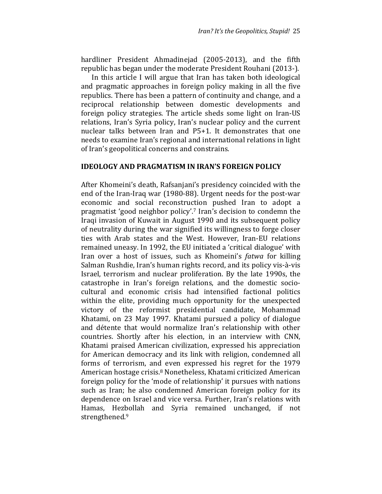hardliner President Ahmadinejad (2005-2013), and the fifth republic has began under the moderate President Rouhani (2013-).

In this article I will argue that Iran has taken both ideological and pragmatic approaches in foreign policy making in all the five republics. There has been a pattern of continuity and change, and a reciprocal relationship between domestic developments and foreign policy strategies. The article sheds some light on Iran-US relations, Iran's Syria policy, Iran's nuclear policy and the current nuclear talks between Iran and P5+1. It demonstrates that one needs to examine Iran's regional and international relations in light of Iran's geopolitical concerns and constrains.

#### IDEOLOGY AND PRAGMATISM IN IRAN'S FOREIGN POLICY

After Khomeini's death, Rafsanjani's presidency coincided with the end of the Iran-Iraq war (1980-88). Urgent needs for the post-war economic and social reconstruction pushed Iran to adopt a pragmatist 'good neighbor policy'.7 Iran's decision to condemn the Iraqi invasion of Kuwait in August 1990 and its subsequent policy of neutrality during the war signified its willingness to forge closer ties with Arab states and the West. However, Iran-EU relations remained uneasy. In 1992, the EU initiated a 'critical dialogue' with Iran over a host of issues, such as Khomeini's fatwa for killing Salman Rushdie, Iran's human rights record, and its policy vis-à-vis Israel, terrorism and nuclear proliferation. By the late 1990s, the catastrophe in Iran's foreign relations, and the domestic sociocultural and economic crisis had intensified factional politics within the elite, providing much opportunity for the unexpected victory of the reformist presidential candidate, Mohammad Khatami, on 23 May 1997. Khatami pursued a policy of dialogue and détente that would normalize Iran's relationship with other countries. Shortly after his election, in an interview with CNN, Khatami praised American civilization, expressed his appreciation for American democracy and its link with religion, condemned all forms of terrorism, and even expressed his regret for the 1979 American hostage crisis.8 Nonetheless, Khatami criticized American foreign policy for the 'mode of relationship' it pursues with nations such as Iran; he also condemned American foreign policy for its dependence on Israel and vice versa. Further, Iran's relations with Hamas, Hezbollah and Syria remained unchanged, if not strengthened.9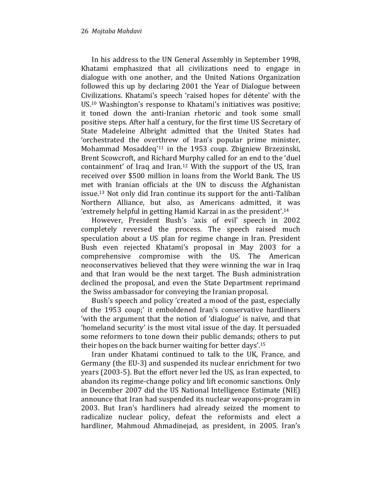In his address to the UN General Assembly in September 1998, Khatami emphasized that all civilizations need to engage in dialogue with one another, and the United Nations Organization followed this up by declaring 2001 the Year of Dialogue between Civilizations. Khatami's speech 'raised hopes for détente' with the US.10 Washington's response to Khatami's initiatives was positive; it toned down the anti-Iranian rhetoric and took some small positive steps. After half a century, for the first time US Secretary of State Madeleine Albright admitted that the United States had 'orchestrated the overthrew of Iran's popular prime minister, Mohammad Mosaddeq'11 in the 1953 coup. Zbigniew Brzezinski, Brent Scowcroft, and Richard Murphy called for an end to the 'duel containment' of Iraq and Iran.12 With the support of the US, Iran received over \$500 million in loans from the World Bank. The US met with Iranian officials at the UN to discuss the Afghanistan issue.13 Not only did Iran continue its support for the anti-Taliban Northern Alliance, but also, as Americans admitted, it was 'extremely helpful in getting Hamid Karzai in as the president'.<sup>14</sup>

However, President Bush's 'axis of evil' speech in 2002 completely reversed the process. The speech raised much speculation about a US plan for regime change in Iran. President Bush even rejected Khatami's proposal in May 2003 for a comprehensive compromise with the US. The American neoconservatives believed that they were winning the war in Iraq and that Iran would be the next target. The Bush administration declined the proposal, and even the State Department reprimand the Swiss ambassador for conveying the Iranian proposal.

Bush's speech and policy 'created a mood of the past, especially of the 1953 coup;' it emboldened Iran's conservative hardliners 'with the argument that the notion of 'dialogue' is naïve, and that 'homeland security' is the most vital issue of the day. It persuaded some reformers to tone down their public demands; others to put their hopes on the back burner waiting for better days'.<sup>15</sup>

Iran under Khatami continued to talk to the UK, France, and Germany (the EU-3) and suspended its nuclear enrichment for two years (2003-5). But the effort never led the US, as Iran expected, to abandon its regime-change policy and lift economic sanctions. Only in December 2007 did the US National Intelligence Estimate (NIE) announce that Iran had suspended its nuclear weapons-program in 2003. But Iran's hardliners had already seized the moment to radicalize nuclear policy, defeat the reformists and elect a hardliner, Mahmoud Ahmadinejad, as president, in 2005. Iran's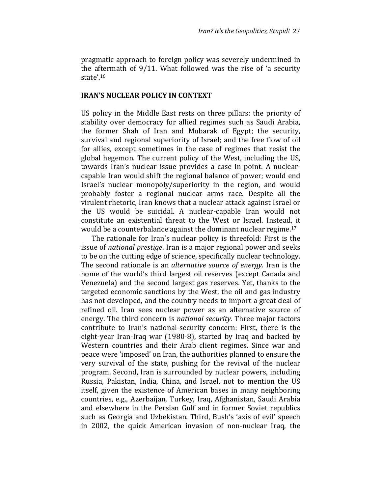pragmatic approach to foreign policy was severely undermined in the aftermath of 9/11. What followed was the rise of 'a security state'.<sup>16</sup>

#### IRAN'S NUCLEAR POLICY IN CONTEXT

US policy in the Middle East rests on three pillars: the priority of stability over democracy for allied regimes such as Saudi Arabia, the former Shah of Iran and Mubarak of Egypt; the security, survival and regional superiority of Israel; and the free flow of oil for allies, except sometimes in the case of regimes that resist the global hegemon. The current policy of the West, including the US, towards Iran's nuclear issue provides a case in point. A nuclearcapable Iran would shift the regional balance of power; would end Israel's nuclear monopoly/superiority in the region, and would probably foster a regional nuclear arms race. Despite all the virulent rhetoric, Iran knows that a nuclear attack against Israel or the US would be suicidal. A nuclear-capable Iran would not constitute an existential threat to the West or Israel. Instead, it would be a counterbalance against the dominant nuclear regime.<sup>17</sup>

The rationale for Iran's nuclear policy is threefold: First is the issue of national prestige. Iran is a major regional power and seeks to be on the cutting edge of science, specifically nuclear technology. The second rationale is an alternative source of energy. Iran is the home of the world's third largest oil reserves (except Canada and Venezuela) and the second largest gas reserves. Yet, thanks to the targeted economic sanctions by the West, the oil and gas industry has not developed, and the country needs to import a great deal of refined oil. Iran sees nuclear power as an alternative source of energy. The third concern is national security. Three major factors contribute to Iran's national-security concern: First, there is the eight-year Iran-Iraq war (1980-8), started by Iraq and backed by Western countries and their Arab client regimes. Since war and peace were 'imposed' on Iran, the authorities planned to ensure the very survival of the state, pushing for the revival of the nuclear program. Second, Iran is surrounded by nuclear powers, including Russia, Pakistan, India, China, and Israel, not to mention the US itself, given the existence of American bases in many neighboring countries, e.g., Azerbaijan, Turkey, Iraq, Afghanistan, Saudi Arabia and elsewhere in the Persian Gulf and in former Soviet republics such as Georgia and Uzbekistan. Third, Bush's 'axis of evil' speech in 2002, the quick American invasion of non-nuclear Iraq, the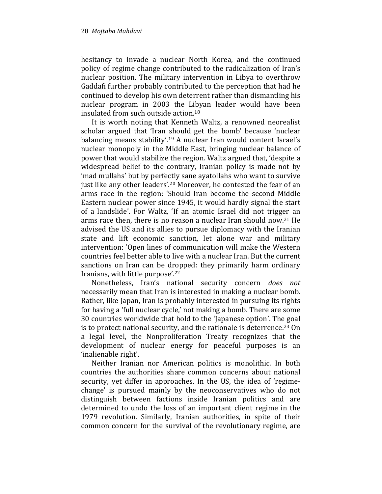hesitancy to invade a nuclear North Korea, and the continued policy of regime change contributed to the radicalization of Iran's nuclear position. The military intervention in Libya to overthrow Gaddafi further probably contributed to the perception that had he continued to develop his own deterrent rather than dismantling his nuclear program in 2003 the Libyan leader would have been insulated from such outside action.<sup>18</sup>

It is worth noting that Kenneth Waltz, a renowned neorealist scholar argued that 'Iran should get the bomb' because 'nuclear balancing means stability'.19 A nuclear Iran would content Israel's nuclear monopoly in the Middle East, bringing nuclear balance of power that would stabilize the region. Waltz argued that, 'despite a widespread belief to the contrary, Iranian policy is made not by 'mad mullahs' but by perfectly sane ayatollahs who want to survive just like any other leaders'.20 Moreover, he contested the fear of an arms race in the region: 'Should Iran become the second Middle Eastern nuclear power since 1945, it would hardly signal the start of a landslide'. For Waltz, 'If an atomic Israel did not trigger an arms race then, there is no reason a nuclear Iran should now.21 He advised the US and its allies to pursue diplomacy with the Iranian state and lift economic sanction, let alone war and military intervention: 'Open lines of communication will make the Western countries feel better able to live with a nuclear Iran. But the current sanctions on Iran can be dropped: they primarily harm ordinary Iranians, with little purpose'.<sup>22</sup>

Nonetheless, Iran's national security concern does not necessarily mean that Iran is interested in making a nuclear bomb. Rather, like Japan, Iran is probably interested in pursuing its rights for having a 'full nuclear cycle,' not making a bomb. There are some 30 countries worldwide that hold to the 'Japanese option'. The goal is to protect national security, and the rationale is deterrence.<sup>23</sup> On a legal level, the Nonproliferation Treaty recognizes that the development of nuclear energy for peaceful purposes is an 'inalienable right'.

Neither Iranian nor American politics is monolithic. In both countries the authorities share common concerns about national security, yet differ in approaches. In the US, the idea of 'regimechange' is pursued mainly by the neoconservatives who do not distinguish between factions inside Iranian politics and are determined to undo the loss of an important client regime in the 1979 revolution. Similarly, Iranian authorities, in spite of their common concern for the survival of the revolutionary regime, are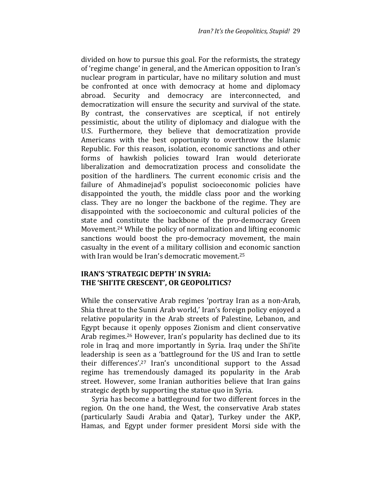divided on how to pursue this goal. For the reformists, the strategy of 'regime change' in general, and the American opposition to Iran's nuclear program in particular, have no military solution and must be confronted at once with democracy at home and diplomacy abroad. Security and democracy are interconnected, and democratization will ensure the security and survival of the state. By contrast, the conservatives are sceptical, if not entirely pessimistic, about the utility of diplomacy and dialogue with the U.S. Furthermore, they believe that democratization provide Americans with the best opportunity to overthrow the Islamic Republic. For this reason, isolation, economic sanctions and other forms of hawkish policies toward Iran would deteriorate liberalization and democratization process and consolidate the position of the hardliners. The current economic crisis and the failure of Ahmadinejad's populist socioeconomic policies have disappointed the youth, the middle class poor and the working class. They are no longer the backbone of the regime. They are disappointed with the socioeconomic and cultural policies of the state and constitute the backbone of the pro-democracy Green Movement.24 While the policy of normalization and lifting economic sanctions would boost the pro-democracy movement, the main casualty in the event of a military collision and economic sanction with Iran would be Iran's democratic movement.<sup>25</sup>

### IRAN'S 'STRATEGIC DEPTH' IN SYRIA: THE 'SHI'ITE CRESCENT', OR GEOPOLITICS?

While the conservative Arab regimes 'portray Iran as a non-Arab, Shia threat to the Sunni Arab world,' Iran's foreign policy enjoyed a relative popularity in the Arab streets of Palestine, Lebanon, and Egypt because it openly opposes Zionism and client conservative Arab regimes.<sup>26</sup> However, Iran's popularity has declined due to its role in Iraq and more importantly in Syria. Iraq under the Shi'ite leadership is seen as a 'battleground for the US and Iran to settle their differences'.27 Iran's unconditional support to the Assad regime has tremendously damaged its popularity in the Arab street. However, some Iranian authorities believe that Iran gains strategic depth by supporting the statue quo in Syria.

Syria has become a battleground for two different forces in the region. On the one hand, the West, the conservative Arab states (particularly Saudi Arabia and Qatar), Turkey under the AKP, Hamas, and Egypt under former president Morsi side with the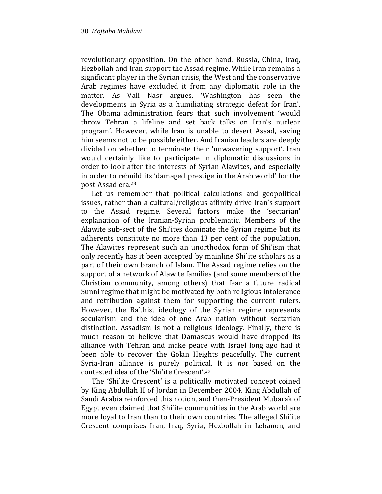revolutionary opposition. On the other hand, Russia, China, Iraq, Hezbollah and Iran support the Assad regime. While Iran remains a significant player in the Syrian crisis, the West and the conservative Arab regimes have excluded it from any diplomatic role in the matter. As Vali Nasr argues, 'Washington has seen the developments in Syria as a humiliating strategic defeat for Iran'. The Obama administration fears that such involvement 'would throw Tehran a lifeline and set back talks on Iran's nuclear program'. However, while Iran is unable to desert Assad, saving him seems not to be possible either. And Iranian leaders are deeply divided on whether to terminate their 'unwavering support'. Iran would certainly like to participate in diplomatic discussions in order to look after the interests of Syrian Alawites, and especially in order to rebuild its 'damaged prestige in the Arab world' for the post-Assad era.<sup>28</sup>

Let us remember that political calculations and geopolitical issues, rather than a cultural/religious affinity drive Iran's support to the Assad regime. Several factors make the 'sectarian' explanation of the Iranian-Syrian problematic. Members of the Alawite sub-sect of the Shi'ites dominate the Syrian regime but its adherents constitute no more than 13 per cent of the population. The Alawites represent such an unorthodox form of Shi'ism that only recently has it been accepted by mainline Shi`ite scholars as a part of their own branch of Islam. The Assad regime relies on the support of a network of Alawite families (and some members of the Christian community, among others) that fear a future radical Sunni regime that might be motivated by both religious intolerance and retribution against them for supporting the current rulers. However, the Ba'thist ideology of the Syrian regime represents secularism and the idea of one Arab nation without sectarian distinction. Assadism is not a religious ideology. Finally, there is much reason to believe that Damascus would have dropped its alliance with Tehran and make peace with Israel long ago had it been able to recover the Golan Heights peacefully. The current Syria-Iran alliance is purely political. It is not based on the contested idea of the 'Shi'ite Crescent'.<sup>29</sup>

The 'Shi`ite Crescent' is a politically motivated concept coined by King Abdullah II of Jordan in December 2004. King Abdullah of Saudi Arabia reinforced this notion, and then-President Mubarak of Egypt even claimed that Shi`ite communities in the Arab world are more loyal to Iran than to their own countries. The alleged Shi`ite Crescent comprises Iran, Iraq, Syria, Hezbollah in Lebanon, and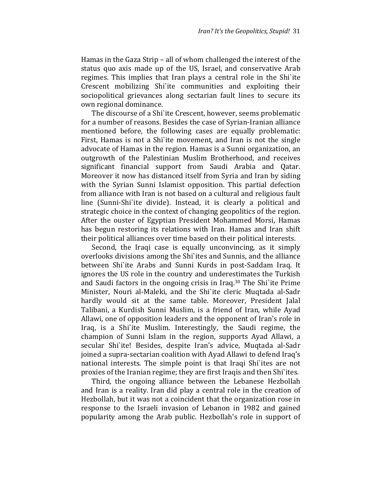Hamas in the Gaza Strip – all of whom challenged the interest of the status quo axis made up of the US, Israel, and conservative Arab regimes. This implies that Iran plays a central role in the Shi`ite Crescent mobilizing Shi`ite communities and exploiting their sociopolitical grievances along sectarian fault lines to secure its own regional dominance.

The discourse of a Shi`ite Crescent, however, seems problematic for a number of reasons. Besides the case of Syrian-Iranian alliance mentioned before, the following cases are equally problematic: First, Hamas is not a Shi`ite movement, and Iran is not the single advocate of Hamas in the region. Hamas is a Sunni organization, an outgrowth of the Palestinian Muslim Brotherhood, and receives significant financial support from Saudi Arabia and Qatar. Moreover it now has distanced itself from Syria and Iran by siding with the Syrian Sunni Islamist opposition. This partial defection from alliance with Iran is not based on a cultural and religious fault line (Sunni-Shi`ite divide). Instead, it is clearly a political and strategic choice in the context of changing geopolitics of the region. After the ouster of Egyptian President Mohammed Morsi, Hamas has begun restoring its relations with Iran. Hamas and Iran shift their political alliances over time based on their political interests.

Second, the Iraqi case is equally unconvincing, as it simply overlooks divisions among the Shi`ites and Sunnis, and the alliance between Shi`ite Arabs and Sunni Kurds in post-Saddam Iraq. It ignores the US role in the country and underestimates the Turkish and Saudi factors in the ongoing crisis in Iraq.30 The Shi`ite Prime Minister, Nouri al-Maleki, and the Shi`ite cleric Muqtada al-Sadr hardly would sit at the same table. Moreover, President Jalal Talibani, a Kurdish Sunni Muslim, is a friend of Iran, while Ayad Allawi, one of opposition leaders and the opponent of Iran's role in Iraq, is a Shi`ite Muslim. Interestingly, the Saudi regime, the champion of Sunni Islam in the region, supports Ayad Allawi, a secular Shi`ite! Besides, despite Iran's advice, Muqtada al-Sadr joined a supra-sectarian coalition with Ayad Allawi to defend Iraq's national interests. The simple point is that Iraqi Shi`ites are not proxies of the Iranian regime; they are first Iraqis and then Shi`ites.

Third, the ongoing alliance between the Lebanese Hezbollah and Iran is a reality. Iran did play a central role in the creation of Hezbollah, but it was not a coincident that the organization rose in response to the Israeli invasion of Lebanon in 1982 and gained popularity among the Arab public. Hezbollah's role in support of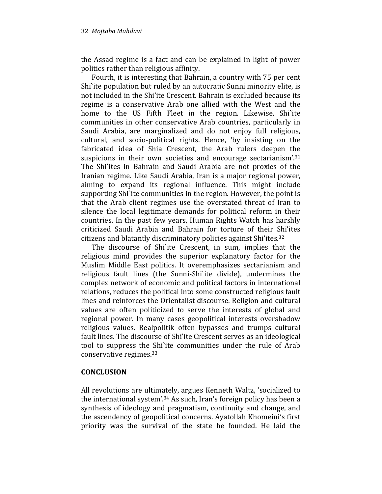the Assad regime is a fact and can be explained in light of power politics rather than religious affinity.

Fourth, it is interesting that Bahrain, a country with 75 per cent Shi`ite population but ruled by an autocratic Sunni minority elite, is not included in the Shi'ite Crescent. Bahrain is excluded because its regime is a conservative Arab one allied with the West and the home to the US Fifth Fleet in the region. Likewise, Shi`ite communities in other conservative Arab countries, particularly in Saudi Arabia, are marginalized and do not enjoy full religious, cultural, and socio-political rights. Hence, 'by insisting on the fabricated idea of Shia Crescent, the Arab rulers deepen the suspicions in their own societies and encourage sectarianism'.<sup>31</sup> The Shi'ites in Bahrain and Saudi Arabia are not proxies of the Iranian regime. Like Saudi Arabia, Iran is a major regional power, aiming to expand its regional influence. This might include supporting Shi`ite communities in the region. However, the point is that the Arab client regimes use the overstated threat of Iran to silence the local legitimate demands for political reform in their countries. In the past few years, Human Rights Watch has harshly criticized Saudi Arabia and Bahrain for torture of their Shi'ites citizens and blatantly discriminatory policies against Shi'ites.<sup>32</sup>

The discourse of Shi`ite Crescent, in sum, implies that the religious mind provides the superior explanatory factor for the Muslim Middle East politics. It overemphasizes sectarianism and religious fault lines (the Sunni-Shi`ite divide), undermines the complex network of economic and political factors in international relations, reduces the political into some constructed religious fault lines and reinforces the Orientalist discourse. Religion and cultural values are often politicized to serve the interests of global and regional power. In many cases geopolitical interests overshadow religious values. Realpolitik often bypasses and trumps cultural fault lines. The discourse of Shi'ite Crescent serves as an ideological tool to suppress the Shi`ite communities under the rule of Arab conservative regimes.<sup>33</sup>

#### **CONCLUSION**

All revolutions are ultimately, argues Kenneth Waltz, 'socialized to the international system'.34 As such, Iran's foreign policy has been a synthesis of ideology and pragmatism, continuity and change, and the ascendency of geopolitical concerns. Ayatollah Khomeini's first priority was the survival of the state he founded. He laid the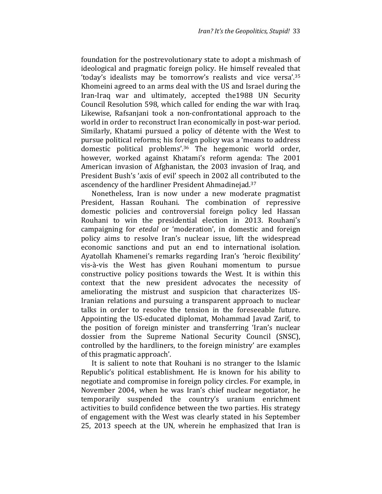foundation for the postrevolutionary state to adopt a mishmash of ideological and pragmatic foreign policy. He himself revealed that 'today's idealists may be tomorrow's realists and vice versa'.<sup>35</sup> Khomeini agreed to an arms deal with the US and Israel during the Iran-Iraq war and ultimately, accepted the1988 UN Security Council Resolution 598, which called for ending the war with Iraq. Likewise, Rafsanjani took a non-confrontational approach to the world in order to reconstruct Iran economically in post-war period. Similarly, Khatami pursued a policy of détente with the West to pursue political reforms; his foreign policy was a 'means to address domestic political problems'.36 The hegemonic world order, however, worked against Khatami's reform agenda: The 2001 American invasion of Afghanistan, the 2003 invasion of Iraq, and President Bush's 'axis of evil' speech in 2002 all contributed to the ascendency of the hardliner President Ahmadinejad.<sup>37</sup>

Nonetheless, Iran is now under a new moderate pragmatist President, Hassan Rouhani. The combination of repressive domestic policies and controversial foreign policy led Hassan Rouhani to win the presidential election in 2013. Rouhani's campaigning for etedal or 'moderation', in domestic and foreign policy aims to resolve Iran's nuclear issue, lift the widespread economic sanctions and put an end to international isolation. Ayatollah Khamenei's remarks regarding Iran's 'heroic flexibility' vis-à-vis the West has given Rouhani momentum to pursue constructive policy positions towards the West. It is within this context that the new president advocates the necessity of ameliorating the mistrust and suspicion that characterizes US-Iranian relations and pursuing a transparent approach to nuclear talks in order to resolve the tension in the foreseeable future. Appointing the US-educated diplomat, Mohammad Javad Zarif, to the position of foreign minister and transferring 'Iran's nuclear dossier from the Supreme National Security Council (SNSC), controlled by the hardliners, to the foreign ministry' are examples of this pragmatic approach'.

It is salient to note that Rouhani is no stranger to the Islamic Republic's political establishment. He is known for his ability to negotiate and compromise in foreign policy circles. For example, in November 2004, when he was Iran's chief nuclear negotiator, he temporarily suspended the country's uranium enrichment activities to build confidence between the two parties. His strategy of engagement with the West was clearly stated in his September 25, 2013 speech at the UN, wherein he emphasized that Iran is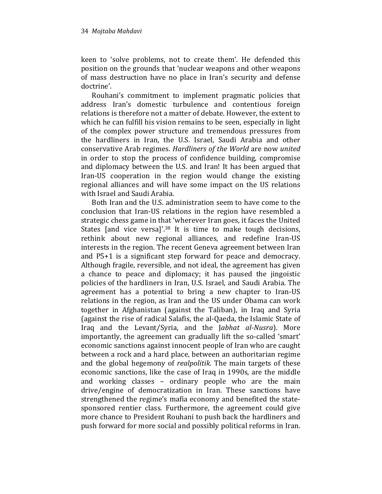keen to 'solve problems, not to create them'. He defended this position on the grounds that 'nuclear weapons and other weapons of mass destruction have no place in Iran's security and defense doctrine'.

Rouhani's commitment to implement pragmatic policies that address Iran's domestic turbulence and contentious foreign relations is therefore not a matter of debate. However, the extent to which he can fulfill his vision remains to be seen, especially in light of the complex power structure and tremendous pressures from the hardliners in Iran, the U.S. Israel, Saudi Arabia and other conservative Arab regimes. Hardliners of the World are now united in order to stop the process of confidence building, compromise and diplomacy between the U.S. and Iran! It has been argued that Iran-US cooperation in the region would change the existing regional alliances and will have some impact on the US relations with Israel and Saudi Arabia.

Both Iran and the U.S. administration seem to have come to the conclusion that Iran-US relations in the region have resembled a strategic chess game in that 'wherever Iran goes, it faces the United States [and vice versa]'.<sup>38</sup> It is time to make tough decisions, rethink about new regional alliances, and redefine Iran-US interests in the region. The recent Geneva agreement between Iran and P5+1 is a significant step forward for peace and democracy. Although fragile, reversible, and not ideal, the agreement has given a chance to peace and diplomacy; it has paused the jingoistic policies of the hardliners in Iran, U.S. Israel, and Saudi Arabia. The agreement has a potential to bring a new chapter to Iran-US relations in the region, as Iran and the US under Obama can work together in Afghanistan (against the Taliban), in Iraq and Syria (against the rise of radical Salafis, the al-Qaeda, the Islamic State of Iraq and the Levant/Syria, and the Jabhat al-Nusra). More importantly, the agreement can gradually lift the so-called 'smart' economic sanctions against innocent people of Iran who are caught between a rock and a hard place, between an authoritarian regime and the global hegemony of realpolitik. The main targets of these economic sanctions, like the case of Iraq in 1990s, are the middle and working classes – ordinary people who are the main drive/engine of democratization in Iran. These sanctions have strengthened the regime's mafia economy and benefited the statesponsored rentier class. Furthermore, the agreement could give more chance to President Rouhani to push back the hardliners and push forward for more social and possibly political reforms in Iran.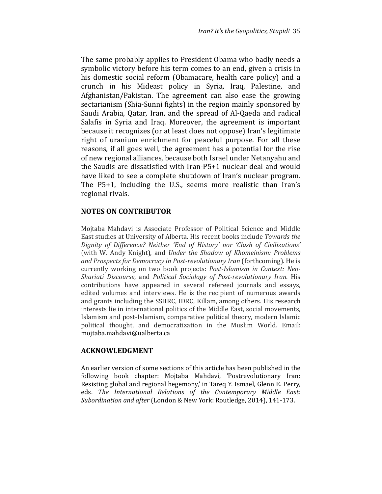The same probably applies to President Obama who badly needs a symbolic victory before his term comes to an end, given a crisis in his domestic social reform (Obamacare, health care policy) and a crunch in his Mideast policy in Syria, Iraq, Palestine, and Afghanistan/Pakistan. The agreement can also ease the growing sectarianism (Shia-Sunni fights) in the region mainly sponsored by Saudi Arabia, Qatar, Iran, and the spread of Al-Qaeda and radical Salafis in Syria and Iraq. Moreover, the agreement is important because it recognizes (or at least does not oppose) Iran's legitimate right of uranium enrichment for peaceful purpose. For all these reasons, if all goes well, the agreement has a potential for the rise of new regional alliances, because both Israel under Netanyahu and the Saudis are dissatisfied with Iran-P5+1 nuclear deal and would have liked to see a complete shutdown of Iran's nuclear program. The P5+1, including the U.S., seems more realistic than Iran's regional rivals.

### NOTES ON CONTRIBUTOR

Mojtaba Mahdavi is Associate Professor of Political Science and Middle East studies at University of Alberta. His recent books include Towards the Dignity of Difference? Neither 'End of History' nor 'Clash of Civilizations' (with W. Andy Knight), and Under the Shadow of Khomeinism: Problems and Prospects for Democracy in Post-revolutionary Iran (forthcoming). He is currently working on two book projects: Post-Islamism in Context: Neo-Shariati Discourse, and Political Sociology of Post-revolutionary Iran. His contributions have appeared in several refereed journals and essays, edited volumes and interviews. He is the recipient of numerous awards and grants including the SSHRC, IDRC, Killam, among others. His research interests lie in international politics of the Middle East, social movements, Islamism and post-Islamism, comparative political theory, modern Islamic political thought, and democratization in the Muslim World. Email: mojtaba.mahdavi@ualberta.ca

#### ACKNOWLEDGMENT

An earlier version of some sections of this article has been published in the following book chapter: Mojtaba Mahdavi, 'Postrevolutionary Iran: Resisting global and regional hegemony,' in Tareq Y. Ismael, Glenn E. Perry, eds. The International Relations of the Contemporary Middle East: Subordination and after (London & New York: Routledge, 2014), 141-173.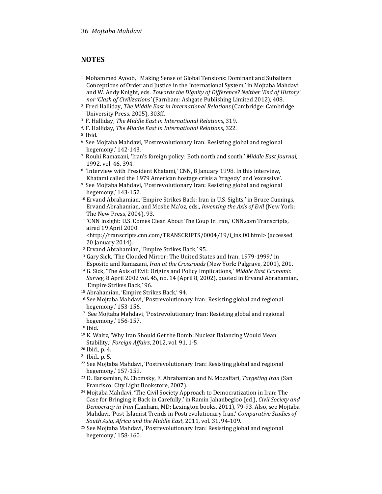## **NOTES**

- <sup>1</sup> Mohammed Ayoob, ' Making Sense of Global Tensions: Dominant and Subaltern Conceptions of Order and Justice in the International System,' in Mojtaba Mahdavi and W. Andy Knight, eds. Towards the Dignity of Difference? Neither 'End of History' nor 'Clash of Civilizations' (Farnham: Ashgate Publishing Limited 2012), 408.
- <sup>2</sup> Fred Halliday, The Middle East in International Relations (Cambridge: Cambridge University Press, 2005), 303ff.
- <sup>3</sup> F. Halliday, The Middle East in International Relations, 319.
- <sup>4</sup>. F. Halliday, The Middle East in International Relations, 322.
- <sup>5</sup> Ibid.
- <sup>6</sup> See Mojtaba Mahdavi, 'Postrevolutionary Iran: Resisting global and regional hegemony,' 142-143.
- <sup>7</sup> Rouhi Ramazani, 'Iran's foreign policy: Both north and south,' Middle East Journal, 1992, vol. 46, 394.
- <sup>8</sup> 'Interview with President Khatami,' CNN, 8 January 1998. In this interview, Khatami called the 1979 American hostage crisis a 'tragedy' and 'excessive'.
- <sup>9</sup> See Mojtaba Mahdavi, 'Postrevolutionary Iran: Resisting global and regional hegemony,' 143-152.
- <sup>10</sup> Ervand Abrahamian, 'Empire Strikes Back: Iran in U.S. Sights,' in Bruce Cumings, Ervand Abrahamian, and Moshe Ma'oz, eds., Inventing the Axis of Evil (New York: The New Press, 2004), 93.
- <sup>11</sup> 'CNN Insight: U.S. Comes Clean About The Coup In Iran,' CNN.com Transcripts, aired 19 April 2000.

<http://transcripts.cnn.com/TRANSCRIPTS/0004/19/i\_ins.00.html> (accessed 20 January 2014).

- <sup>12</sup> Ervand Abrahamian, 'Empire Strikes Back,' 95.
- <sup>13</sup> Gary Sick, 'The Clouded Mirror: The United States and Iran, 1979-1999,' in Esposito and Ramazani, Iran at the Crossroads (New York: Palgrave, 2001), 201.
- <sup>14</sup> G. Sick, 'The Axis of Evil: Origins and Policy Implications,' Middle East Economic Survey, 8 April 2002 vol. 45, no. 14 (April 8, 2002), quoted in Ervand Abrahamian, 'Empire Strikes Back,' 96.
- <sup>15</sup> Abrahamian, 'Empire Strikes Back,' 94.
- <sup>16</sup> See Mojtaba Mahdavi, 'Postrevolutionary Iran: Resisting global and regional hegemony,' 153-156.
- <sup>17</sup> See Mojtaba Mahdavi, 'Postrevolutionary Iran: Resisting global and regional hegemony,' 156-157.

- <sup>19</sup> K. Waltz, 'Why Iran Should Get the Bomb: Nuclear Balancing Would Mean Stability,' Foreign Affairs, 2012, vol. 91, 1-5.
- <sup>20</sup> Ibid., p. 4.
- <sup>21</sup> Ibid., p. 5.
- <sup>22</sup> See Mojtaba Mahdavi, 'Postrevolutionary Iran: Resisting global and regional hegemony,' 157-159.
- <sup>23</sup> D. Barsamian, N. Chomsky, E. Abrahamian and N. Mozaffari, Targeting Iran (San Francisco: City Light Bookstore, 2007).
- <sup>24</sup> Mojtaba Mahdavi, 'The Civil Society Approach to Democratization in Iran: The Case for Bringing it Back in Carefully,' in Ramin Jahanbegloo (ed.), Civil Society and Democracy in Iran (Lanham, MD: Lexington books, 2011), 79-93. Also, see Mojtaba Mahdavi, 'Post-Islamist Trends in Postrevolutionary Iran,' Comparative Studies of South Asia, Africa and the Middle East, 2011, vol. 31, 94-109.
- <sup>25</sup> See Mojtaba Mahdavi, 'Postrevolutionary Iran: Resisting global and regional hegemony,' 158-160.

<sup>18</sup> Ibid.